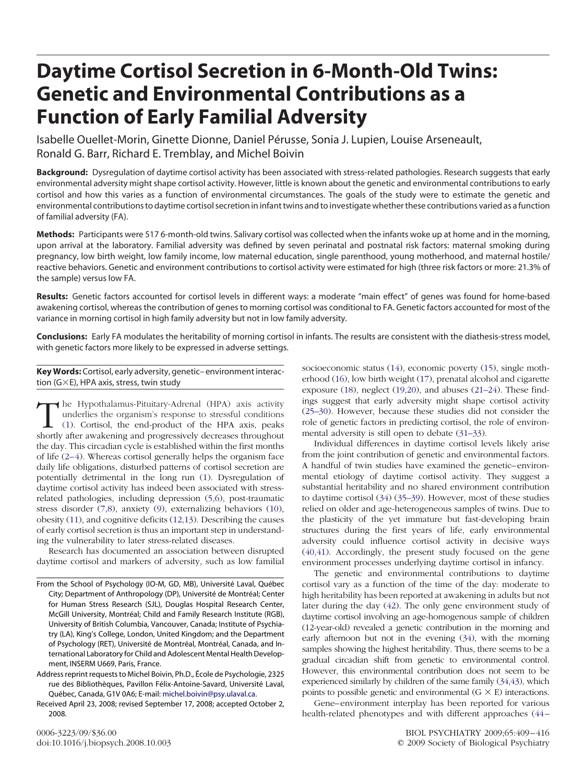# **Daytime Cortisol Secretion in 6-Month-Old Twins: Genetic and Environmental Contributions as a Function of Early Familial Adversity**

Isabelle Ouellet-Morin, Ginette Dionne, Daniel Pérusse, Sonia J. Lupien, Louise Arseneault, Ronald G. Barr, Richard E. Tremblay, and Michel Boivin

**Background:** Dysregulation of daytime cortisol activity has been associated with stress-related pathologies. Research suggests that early environmental adversity might shape cortisol activity. However, little is known about the genetic and environmental contributions to early cortisol and how this varies as a function of environmental circumstances. The goals of the study were to estimate the genetic and environmental contributions to daytime cortisol secretion in infant twins and to investigate whether these contributions varied as a function of familial adversity (FA).

**Methods:** Participants were 517 6-month-old twins. Salivary cortisol was collected when the infants woke up at home and in the morning, upon arrival at the laboratory. Familial adversity was defined by seven perinatal and postnatal risk factors: maternal smoking during pregnancy, low birth weight, low family income, low maternal education, single parenthood, young motherhood, and maternal hostile/ reactive behaviors. Genetic and environment contributions to cortisol activity were estimated for high (three risk factors or more: 21.3% of the sample) versus low FA.

**Results:** Genetic factors accounted for cortisol levels in different ways: a moderate "main effect" of genes was found for home-based awakening cortisol, whereas the contribution of genes to morning cortisol was conditional to FA. Genetic factors accounted for most of the variance in morning cortisol in high family adversity but not in low family adversity.

**Conclusions:** Early FA modulates the heritability of morning cortisol in infants. The results are consistent with the diathesis-stress model, with genetic factors more likely to be expressed in adverse settings.

**Key Words:** Cortisol, early adversity, genetic– environment interaction ( $G \times E$ ), HPA axis, stress, twin study

The Hypothalamus-Pituitary-Adrenal (HPA) axis activity underlies the organism's response to stressful conditions (1). Cortisol, the end-product of the HPA axis, peaks shortly after awakening and progressively decreases throughout the day. This circadian cycle is established within the first months of life [\(2– 4\)](#page-5-0). Whereas cortisol generally helps the organism face daily life obligations, disturbed patterns of cortisol secretion are potentially detrimental in the long run [\(1\)](#page-5-0). Dysregulation of daytime cortisol activity has indeed been associated with stressrelated pathologies, including depression [\(5,6\)](#page-6-0), post-traumatic stress disorder [\(7,8\)](#page-6-0), anxiety [\(9\)](#page-6-0), externalizing behaviors [\(10\)](#page-6-0), obesity [\(11\)](#page-6-0), and cognitive deficits [\(12,13\)](#page-6-0). Describing the causes of early cortisol secretion is thus an important step in understanding the vulnerability to later stress-related diseases.

Research has documented an association between disrupted daytime cortisol and markers of adversity, such as low familial

socioeconomic status [\(14\)](#page-6-0), economic poverty [\(15\)](#page-6-0), single motherhood [\(16\)](#page-6-0), low birth weight [\(17\)](#page-6-0), prenatal alcohol and cigarette exposure [\(18\)](#page-6-0), neglect [\(19,20\)](#page-6-0), and abuses [\(21–24\)](#page-6-0). These findings suggest that early adversity might shape cortisol activity [\(25–30\)](#page-6-0). However, because these studies did not consider the role of genetic factors in predicting cortisol, the role of environmental adversity is still open to debate [\(31–33\)](#page-6-0).

Individual differences in daytime cortisol levels likely arise from the joint contribution of genetic and environmental factors. A handful of twin studies have examined the genetic– environmental etiology of daytime cortisol activity. They suggest a substantial heritability and no shared environment contribution to daytime cortisol [\(34\)](#page-6-0) [\(35–39\)](#page-6-0). However, most of these studies relied on older and age-heterogeneous samples of twins. Due to the plasticity of the yet immature but fast-developing brain structures during the first years of life, early environmental adversity could influence cortisol activity in decisive ways [\(40,41\)](#page-6-0). Accordingly, the present study focused on the gene environment processes underlying daytime cortisol in infancy.

The genetic and environmental contributions to daytime cortisol vary as a function of the time of the day: moderate to high heritability has been reported at awakening in adults but not later during the day [\(42\)](#page-6-0). The only gene environment study of daytime cortisol involving an age-homogenous sample of children (12-year-old) revealed a genetic contribution in the morning and early afternoon but not in the evening [\(34\)](#page-6-0), with the morning samples showing the highest heritability. Thus, there seems to be a gradual circadian shift from genetic to environmental control. However, this environmental contribution does not seem to be experienced similarly by children of the same family [\(34,43\)](#page-6-0), which points to possible genetic and environmental  $(G \times E)$  interactions.

Gene– environment interplay has been reported for various health-related phenotypes and with different approaches (44 –

From the School of Psychology (IO-M, GD, MB), Université Laval, Québec City; Department of Anthropology (DP), Université de Montréal; Center for Human Stress Research (SJL), Douglas Hospital Research Center, McGill University, Montréal; Child and Family Research Institute (RGB), University of British Columbia, Vancouver, Canada; Institute of Psychiatry (LA), King's College, London, United Kingdom; and the Department of Psychology (RET), Université de Montréal, Montréal, Canada, and International Laboratory for Child and Adolescent Mental Health Development, INSERM U669, Paris, France.

Address reprint requests to Michel Boivin, Ph.D., École de Psychologie, 2325 rue des Bibliothèques, Pavillon Félix-Antoine-Savard, Université Laval, Québec, Canada, G1V 0A6; E-mail: [michel.boivin@psy.ulaval.ca.](mailto:michel.boivin@psy.ulaval.ca)

Received April 23, 2008; revised September 17, 2008; accepted October 2, 2008.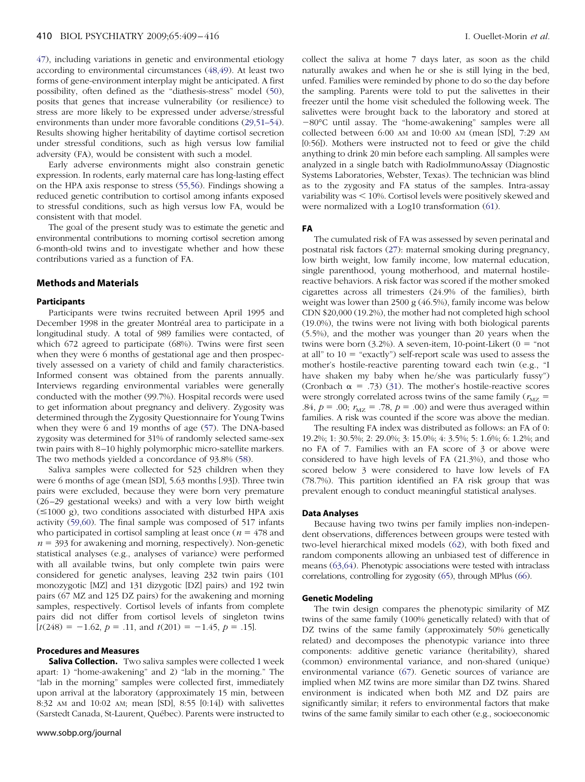[47\)](#page-6-0), including variations in genetic and environmental etiology according to environmental circumstances [\(48,49\)](#page-6-0). At least two forms of gene-environment interplay might be anticipated. A first possibility, often defined as the "diathesis-stress" model [\(50\)](#page-6-0), posits that genes that increase vulnerability (or resilience) to stress are more likely to be expressed under adverse/stressful environments than under more favorable conditions [\(29,51–54\)](#page-6-0). Results showing higher heritability of daytime cortisol secretion under stressful conditions, such as high versus low familial adversity (FA), would be consistent with such a model.

Early adverse environments might also constrain genetic expression. In rodents, early maternal care has long-lasting effect on the HPA axis response to stress [\(55,56\)](#page-7-0). Findings showing a reduced genetic contribution to cortisol among infants exposed to stressful conditions, such as high versus low FA, would be consistent with that model.

The goal of the present study was to estimate the genetic and environmental contributions to morning cortisol secretion among 6-month-old twins and to investigate whether and how these contributions varied as a function of FA.

# **Methods and Materials**

#### **Participants**

Participants were twins recruited between April 1995 and December 1998 in the greater Montréal area to participate in a longitudinal study. A total of 989 families were contacted, of which 672 agreed to participate (68%). Twins were first seen when they were 6 months of gestational age and then prospectively assessed on a variety of child and family characteristics. Informed consent was obtained from the parents annually. Interviews regarding environmental variables were generally conducted with the mother (99.7%). Hospital records were used to get information about pregnancy and delivery. Zygosity was determined through the Zygosity Questionnaire for Young Twins when they were 6 and 19 months of age [\(57\)](#page-7-0). The DNA-based zygosity was determined for 31% of randomly selected same-sex twin pairs with 8 –10 highly polymorphic micro-satellite markers. The two methods yielded a concordance of 93.8% [\(58\)](#page-7-0).

Saliva samples were collected for 523 children when they were 6 months of age (mean [SD], 5.63 months [.93]). Three twin pairs were excluded, because they were born very premature (26 –29 gestational weeks) and with a very low birth weight  $(\leq 1000 \text{ g})$ , two conditions associated with disturbed HPA axis activity [\(59,60\)](#page-7-0). The final sample was composed of 517 infants who participated in cortisol sampling at least once  $(n = 478$  and  $n = 393$  for awakening and morning, respectively). Non-genetic statistical analyses (e.g., analyses of variance) were performed with all available twins, but only complete twin pairs were considered for genetic analyses, leaving 232 twin pairs (101 monozygotic [MZ] and 131 dizygotic [DZ] pairs) and 192 twin pairs (67 MZ and 125 DZ pairs) for the awakening and morning samples, respectively. Cortisol levels of infants from complete pairs did not differ from cortisol levels of singleton twins  $[t(248) = -1.62, p = .11, \text{ and } t(201) = -1.45, p = .15].$ 

# **Procedures and Measures**

**Saliva Collection.** Two saliva samples were collected 1 week apart: 1) "home-awakening" and 2) "lab in the morning." The "lab in the morning" samples were collected first, immediately upon arrival at the laboratory (approximately 15 min, between 8:32 AM and 10:02 AM; mean [SD], 8:55 [0:14]) with salivettes (Sarstedt Canada, St-Laurent, Québec). Parents were instructed to collect the saliva at home 7 days later, as soon as the child naturally awakes and when he or she is still lying in the bed, unfed. Families were reminded by phone to do so the day before the sampling. Parents were told to put the salivettes in their freezer until the home visit scheduled the following week. The salivettes were brought back to the laboratory and stored at  $-80^{\circ}$ C until assay. The "home-awakening" samples were all collected between 6:00 AM and 10:00 AM (mean [SD], 7:29 AM [0:56]). Mothers were instructed not to feed or give the child anything to drink 20 min before each sampling. All samples were analyzed in a single batch with RadioImmunoAssay (Diagnostic Systems Laboratories, Webster, Texas). The technician was blind as to the zygosity and FA status of the samples. Intra-assay variability was  $\leq 10\%$ . Cortisol levels were positively skewed and were normalized with a Log10 transformation [\(61\)](#page-7-0).

**FA**

The cumulated risk of FA was assessed by seven perinatal and postnatal risk factors [\(27\)](#page-6-0): maternal smoking during pregnancy, low birth weight, low family income, low maternal education, single parenthood, young motherhood, and maternal hostilereactive behaviors. A risk factor was scored if the mother smoked cigarettes across all trimesters (24.9% of the families), birth weight was lower than 2500 g  $(46.5\%)$ , family income was below CDN \$20,000 (19.2%), the mother had not completed high school (19.0%), the twins were not living with both biological parents (5.5%), and the mother was younger than 20 years when the twins were born  $(3.2\%)$ . A seven-item, 10-point-Likert  $(0 = "not$ at all" to  $10 =$  "exactly") self-report scale was used to assess the mother's hostile-reactive parenting toward each twin (e.g., "I have shaken my baby when he/she was particularly fussy") (Cronbach  $\alpha$  = .73) [\(31\)](#page-6-0). The mother's hostile-reactive scores were strongly correlated across twins of the same family ( $r_{\text{MZ}}$  = .84,  $p = .00$ ;  $r_{\text{MZ}} = .78$ ,  $p = .00$ ) and were thus averaged within families. A risk was counted if the score was above the median.

The resulting FA index was distributed as follows: an FA of 0: 19.2%; 1: 30.5%; 2: 29.0%; 3: 15.0%; 4: 3.5%; 5: 1.6%; 6: 1.2%; and no FA of 7. Families with an FA score of 3 or above were considered to have high levels of FA (21.3%), and those who scored below 3 were considered to have low levels of FA (78.7%). This partition identified an FA risk group that was prevalent enough to conduct meaningful statistical analyses.

### **Data Analyses**

Because having two twins per family implies non-independent observations, differences between groups were tested with two-level hierarchical mixed models [\(62\)](#page-7-0), with both fixed and random components allowing an unbiased test of difference in means [\(63,64\)](#page-7-0). Phenotypic associations were tested with intraclass correlations, controlling for zygosity [\(65\)](#page-7-0), through MPlus [\(66\)](#page-7-0).

#### **Genetic Modeling**

The twin design compares the phenotypic similarity of MZ twins of the same family (100% genetically related) with that of DZ twins of the same family (approximately 50% genetically related) and decomposes the phenotypic variance into three components: additive genetic variance (heritability), shared (common) environmental variance, and non-shared (unique) environmental variance [\(67\)](#page-7-0). Genetic sources of variance are implied when MZ twins are more similar than DZ twins. Shared environment is indicated when both MZ and DZ pairs are significantly similar; it refers to environmental factors that make twins of the same family similar to each other (e.g., socioeconomic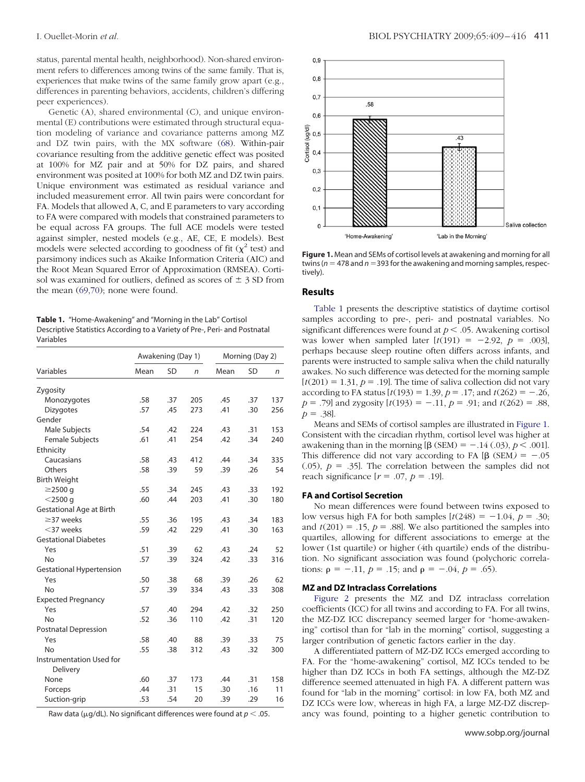status, parental mental health, neighborhood). Non-shared environment refers to differences among twins of the same family. That is, experiences that make twins of the same family grow apart (e.g., differences in parenting behaviors, accidents, children's differing peer experiences).

Genetic (A), shared environmental (C), and unique environmental (E) contributions were estimated through structural equation modeling of variance and covariance patterns among MZ and DZ twin pairs, with the MX software [\(68\)](#page-7-0). Within-pair covariance resulting from the additive genetic effect was posited at 100% for MZ pair and at 50% for DZ pairs, and shared environment was posited at 100% for both MZ and DZ twin pairs. Unique environment was estimated as residual variance and included measurement error. All twin pairs were concordant for FA. Models that allowed A, C, and E parameters to vary according to FA were compared with models that constrained parameters to be equal across FA groups. The full ACE models were tested against simpler, nested models (e.g., AE, CE, E models). Best models were selected according to goodness of fit  $(\chi^2 \text{ test})$  and parsimony indices such as Akaike Information Criteria (AIC) and the Root Mean Squared Error of Approximation (RMSEA). Cortisol was examined for outliers, defined as scores of  $\pm$  3 SD from the mean [\(69,70\)](#page-7-0); none were found. **Results**

**Table 1.** "Home-Awakening" and "Morning in the Lab" Cortisol Descriptive Statistics According to a Variety of Pre-, Peri- and Postnatal Variables

|                                      |      | Awakening (Day 1) |     | Morning (Day 2) |           |     |
|--------------------------------------|------|-------------------|-----|-----------------|-----------|-----|
| Variables                            | Mean | <b>SD</b>         | n   | Mean            | <b>SD</b> | n   |
| Zygosity                             |      |                   |     |                 |           |     |
| Monozygotes                          | .58  | .37               | 205 | .45             | .37       | 137 |
| <b>Dizygotes</b>                     | .57  | .45               | 273 | .41             | .30       | 256 |
| Gender                               |      |                   |     |                 |           |     |
| Male Subjects                        | .54  | .42               | 224 | .43             | .31       | 153 |
| Female Subjects                      | .61  | .41               | 254 | .42             | .34       | 240 |
| Ethnicity                            |      |                   |     |                 |           |     |
| Caucasians                           | .58  | .43               | 412 | .44             | .34       | 335 |
| Others                               | .58  | .39               | 59  | .39             | .26       | 54  |
| <b>Birth Weight</b>                  |      |                   |     |                 |           |     |
| $\geq$ 2500 q                        | .55  | .34               | 245 | .43             | .33       | 192 |
| $<$ 2500 q                           | .60  | .44               | 203 | .41             | .30       | 180 |
| <b>Gestational Age at Birth</b>      |      |                   |     |                 |           |     |
| $\geq$ 37 weeks                      | .55  | .36               | 195 | .43             | .34       | 183 |
| $<$ 37 weeks                         | .59  | .42               | 229 | .41             | .30       | 163 |
| <b>Gestational Diabetes</b>          |      |                   |     |                 |           |     |
| Yes                                  | .51  | .39               | 62  | .43             | .24       | 52  |
| No                                   | .57  | .39               | 324 | .42             | .33       | 316 |
| <b>Gestational Hypertension</b>      |      |                   |     |                 |           |     |
| Yes                                  | .50  | .38               | 68  | .39             | .26       | 62  |
| <b>No</b>                            | .57  | .39               | 334 | .43             | .33       | 308 |
| <b>Expected Pregnancy</b>            |      |                   |     |                 |           |     |
| Yes                                  | .57  | .40               | 294 | .42             | .32       | 250 |
| <b>No</b>                            | .52  | .36               | 110 | .42             | .31       | 120 |
| <b>Postnatal Depression</b>          |      |                   |     |                 |           |     |
| Yes                                  | .58  | .40               | 88  | .39             | .33       | 75  |
| <b>No</b>                            | .55  | .38               | 312 | .43             | .32       | 300 |
| Instrumentation Used for<br>Delivery |      |                   |     |                 |           |     |
| None                                 | .60  | .37               | 173 | .44             | .31       | 158 |
| Forceps                              | .44  | .31               | 15  | .30             | .16       | 11  |
| Suction-grip                         | .53  | .54               | 20  | .39             | .29       | 16  |

Raw data ( $\mu$ g/dL). No significant differences were found at  $p < .05$ .



**Figure 1.** Mean and SEMs of cortisol levels at awakening and morning for all  $twins (n = 478 and n = 393 for the awakening and morning samples, respectively.$ tively).

Table 1 presents the descriptive statistics of daytime cortisol samples according to pre-, peri- and postnatal variables. No significant differences were found at  $p < .05$ . Awakening cortisol was lower when sampled later  $[t(191) = -2.92, p = .003]$ , perhaps because sleep routine often differs across infants, and parents were instructed to sample saliva when the child naturally awakes. No such difference was detected for the morning sample  $[t(201) = 1.31, p = .19]$ . The time of saliva collection did not vary according to FA status  $[t(193) = 1.39, p = .17;$  and  $t(262) = -.26,$  $p = .79$ ] and zygosity  $[t(193) = -.11, p = .91;$  and  $t(262) = .88$ ,  $p = .38$ ].

Means and SEMs of cortisol samples are illustrated in Figure 1. Consistent with the circadian rhythm, cortisol level was higher at awakening than in the morning  $[\beta (SEM) = -0.14 \cdot (0.03), p < 0.001]$ . This difference did not vary according to FA  $[\beta (SEM) = -0.05]$  $(0.05)$ ,  $p = 0.35$ . The correlation between the samples did not reach significance  $[r = .07, p = .19]$ .

# **FA and Cortisol Secretion**

No mean differences were found between twins exposed to low versus high FA for both samples  $[t(248) = -1.04, p = .30;$ and  $t(201) = .15$ ,  $p = .88$ ]. We also partitioned the samples into quartiles, allowing for different associations to emerge at the lower (1st quartile) or higher (4th quartile) ends of the distribution. No significant association was found (polychoric correlations:  $\rho = -.11$ ,  $p = .15$ ; and  $\rho = -.04$ ,  $p = .65$ ).

#### **MZ and DZ Intraclass Correlations**

[Figure 2](#page-3-0) presents the MZ and DZ intraclass correlation coefficients (ICC) for all twins and according to FA. For all twins, the MZ-DZ ICC discrepancy seemed larger for "home-awakening" cortisol than for "lab in the morning" cortisol, suggesting a larger contribution of genetic factors earlier in the day.

A differentiated pattern of MZ-DZ ICCs emerged according to FA. For the "home-awakening" cortisol, MZ ICCs tended to be higher than DZ ICCs in both FA settings, although the MZ-DZ difference seemed attenuated in high FA. A different pattern was found for "lab in the morning" cortisol: in low FA, both MZ and DZ ICCs were low, whereas in high FA, a large MZ-DZ discrepancy was found, pointing to a higher genetic contribution to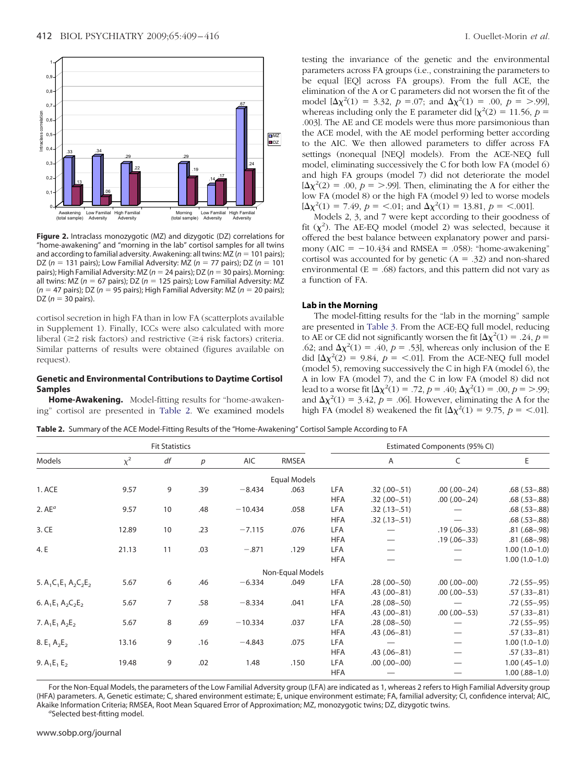(total sample)

Adversity

Adversity

<span id="page-3-0"></span>

**Figure 2.** Intraclass monozygotic (MZ) and dizygotic (DZ) correlations for "home-awakening" and "morning in the lab" cortisol samples for all twins and according to familial adversity. Awakening: all twins:  $MZ (n = 101 \text{ pairs})$ ; DZ ( $n = 131$  pairs); Low Familial Adversity: MZ ( $n = 77$  pairs); DZ ( $n = 101$ pairs); High Familial Adversity: MZ (n = 24 pairs); DZ (n = 30 pairs). Morning: all twins: MZ ( $n = 67$  pairs); DZ ( $n = 125$  pairs); Low Familial Adversity: MZ  $(n = 47 \text{ pairs})$ ; DZ  $(n = 95 \text{ pairs})$ ; High Familial Adversity: MZ  $(n = 20 \text{ pairs})$ ; DZ ( $n = 30$  pairs).

(total sample)

Adversity

Adversity

cortisol secretion in high FA than in low FA (scatterplots available in Supplement 1). Finally, ICCs were also calculated with more liberal ( $\geq$ 2 risk factors) and restrictive ( $\geq$ 4 risk factors) criteria. Similar patterns of results were obtained (figures available on request).

# **Genetic and Environmental Contributions to Daytime Cortisol Samples**

**Home-Awakening.** Model-fitting results for "home-awakening" cortisol are presented in Table 2. We examined models testing the invariance of the genetic and the environmental parameters across FA groups (i.e., constraining the parameters to be equal [EQ] across FA groups). From the full ACE, the elimination of the A or C parameters did not worsen the fit of the model  $[\Delta \chi^2(1) = 3.32, \ p = .07; \text{ and } \Delta \chi^2(1) = .00, \ p = > .99]$ whereas including only the E parameter did  $[\chi^2(2) = 11.56, p =$ .003]. The AE and CE models were thus more parsimonious than the ACE model, with the AE model performing better according to the AIC. We then allowed parameters to differ across FA settings (nonequal [NEQ] models). From the ACE-NEQ full model, eliminating successively the C for both low FA (model 6) and high FA groups (model 7) did not deteriorate the model  $[\Delta \chi^2(2) = .00, p = > .99]$ . Then, eliminating the A for either the low FA (model 8) or the high FA (model 9) led to worse models

 $[\Delta \chi^2(1) = 7.49, p = <.01$ ; and  $\Delta \chi^2(1) = 13.81, p = <.001$ ]. Models 2, 3, and 7 were kept according to their goodness of fit  $(\chi^2)$ . The AE-EQ model (model 2) was selected, because it offered the best balance between explanatory power and parsimony ( $AIC = -10.434$  and RMSEA = .058): "home-awakening" cortisol was accounted for by genetic  $(A = .32)$  and non-shared environmental ( $E = .68$ ) factors, and this pattern did not vary as a function of FA.

# **Lab in the Morning**

The model-fitting results for the "lab in the morning" sample are presented in [Table 3.](#page-4-0) From the ACE-EQ full model, reducing to AE or CE did not significantly worsen the fit  $[\Delta \chi^2(1) = .24, p =$ .62; and  $\Delta \chi^2(1) = .40$ ,  $p = .53$ , whereas only inclusion of the E did  $[\Delta \chi^2(2) = 9.84, p = < .01]$ . From the ACE-NEQ full model (model 5), removing successively the C in high FA (model 6), the A in low FA (model 7), and the C in low FA (model 8) did not lead to a worse fit  $[\Delta \chi^2(1) = .72, p = .40; \Delta \chi^2(1) = .00, p = .99;$ and  $\Delta \chi^2(1) = 3.42$ ,  $p = .06$ . However, eliminating the A for the high FA (model 8) weakened the fit  $[\Delta \chi^2(1) = 9.75, p = < .01]$ .

**Table 2.** Summary of the ACE Model-Fitting Results of the "Home-Awakening" Cortisol Sample According to FA

|                         |          | <b>Fit Statistics</b> |     |            |                     |            |                | Estimated Components (95% CI) |                     |
|-------------------------|----------|-----------------------|-----|------------|---------------------|------------|----------------|-------------------------------|---------------------|
| Models                  | $\chi^2$ | df                    | p   | <b>AIC</b> | RMSEA               |            | Α              | C                             | Ε                   |
|                         |          |                       |     |            | <b>Equal Models</b> |            |                |                               |                     |
| 1. ACE                  | 9.57     | 9                     | .39 | $-8.434$   | .063                | <b>LFA</b> | $.32(.00-.51)$ | $.00(.00-.24)$                | $.68(.53-.88)$      |
|                         |          |                       |     |            |                     | <b>HFA</b> | $.32(.00-.51)$ | $.00(.00-.24)$                | $.68$ $(.53 - .88)$ |
| $2.$ AE $^a$            | 9.57     | 10                    | .48 | $-10.434$  | .058                | <b>LFA</b> | $.32(.13-.51)$ |                               | $.68(.53-.88)$      |
|                         |          |                       |     |            |                     | <b>HFA</b> | $.32(.13-.51)$ |                               | $.68(.53-.88)$      |
| 3.CE                    | 12.89    | 10                    | .23 | $-7.115$   | .076                | <b>LFA</b> |                | $.19(.06-.33)$                | $.81(.68-.98)$      |
|                         |          |                       |     |            |                     | <b>HFA</b> |                | $.19(.06-.33)$                | $.81(.68-.98)$      |
| 4. E                    | 21.13    | 11                    | .03 | $-.871$    | .129                | <b>LFA</b> |                |                               | $1.00(1.0-1.0)$     |
|                         |          |                       |     |            |                     | <b>HFA</b> |                |                               | $1.00(1.0-1.0)$     |
|                         |          |                       |     |            | Non-Equal Models    |            |                |                               |                     |
| 5. $A_1C_1E_1A_2C_2E_2$ | 5.67     | 6                     | .46 | $-6.334$   | .049                | <b>LFA</b> | $.28(.00-.50)$ | $(00,-00)$ 00.                | $.72(.55-.95)$      |
|                         |          |                       |     |            |                     | <b>HFA</b> | $.43(.00-.81)$ | $.00$ $(.00-.53)$             | $.57(.33-.81)$      |
| 6. $A_1E_1A_2C_2E_2$    | 5.67     | $\overline{7}$        | .58 | $-8.334$   | .041                | <b>LFA</b> | $.28(.08-.50)$ |                               | $.72$ (.55 - .95)   |
|                         |          |                       |     |            |                     | <b>HFA</b> | $.43(.00-.81)$ | $.00$ $(.00-.53)$             | $.57(.33-.81)$      |
| 7. $A_1E_1A_2E_2$       | 5.67     | 8                     | .69 | $-10.334$  | .037                | LFA        | $.28(.08-.50)$ |                               | $.72(.55-.95)$      |
|                         |          |                       |     |            |                     | <b>HFA</b> | $.43(.06-.81)$ |                               | $.57(.33-.81)$      |
| 8. $E_1 A_2 E_2$        | 13.16    | 9                     | .16 | $-4.843$   | .075                | <b>LFA</b> |                |                               | $1.00(1.0-1.0)$     |
|                         |          |                       |     |            |                     | <b>HFA</b> | $.43(.06-.81)$ | $\overline{\phantom{0}}$      | $.57(.33-.81)$      |
| 9. $A_1E_1E_2$          | 19.48    | 9                     | .02 | 1.48       | .150                | <b>LFA</b> | $(00,-00)$ 00. |                               | $1.00$ $(.45-1.0)$  |
|                         |          |                       |     |            |                     | <b>HFA</b> |                |                               | $1.00$ $(.88-1.0)$  |

For the Non-Equal Models, the parameters of the Low Familial Adversity group (LFA) are indicated as 1, whereas 2 refers to High Familial Adversity group (HFA) parameters. A, Genetic estimate; C, shared environment estimate; E, unique environment estimate; FA, familial adversity; CI, confidence interval; AIC, Akaike Information Criteria; RMSEA, Root Mean Squared Error of Approximation; MZ, monozygotic twins; DZ, dizygotic twins. *<sup>a</sup>*

<sup>a</sup>Selected best-fitting model.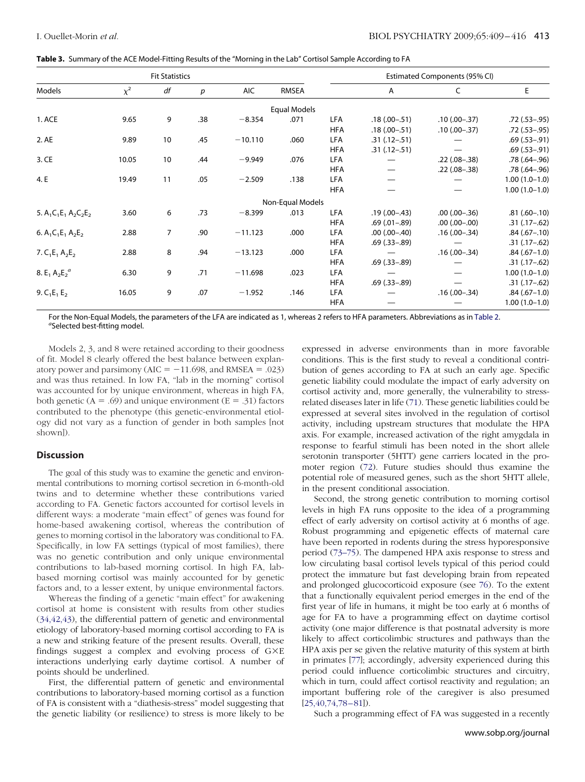<span id="page-4-0"></span>

|  |  | Table 3. Summary of the ACE Model-Fitting Results of the "Morning in the Lab" Cortisol Sample According to FA |  |
|--|--|---------------------------------------------------------------------------------------------------------------|--|
|  |  |                                                                                                               |  |

|                         |          | <b>Fit Statistics</b> |                  |           |                  |            |                     | Estimated Components (95% CI) |                     |
|-------------------------|----------|-----------------------|------------------|-----------|------------------|------------|---------------------|-------------------------------|---------------------|
| Models                  | $\chi^2$ | df                    | $\boldsymbol{p}$ | AIC       | RMSEA            |            | Α                   | C                             | E                   |
|                         |          |                       |                  |           | Equal Models     |            |                     |                               |                     |
| 1. ACE                  | 9.65     | 9                     | .38              | $-8.354$  | .071             | LFA        | $.18(.00-.51)$      | $.10(.00-.37)$                | $.72(.53-.95)$      |
|                         |          |                       |                  |           |                  | <b>HFA</b> | $.18(.00-.51)$      | $.10(.00-.37)$                | $.72(.53-.95)$      |
| 2. AE                   | 9.89     | 10                    | .45              | $-10.110$ | .060             | LFA        | $.31(.12-.51)$      |                               | $.69$ $(.53 - .91)$ |
|                         |          |                       |                  |           |                  | <b>HFA</b> | $.31(.12-.51)$      |                               | $.69$ $(.53 - .91)$ |
| 3. CE                   | 10.05    | 10                    | .44              | $-9.949$  | .076             | LFA        |                     | $.22(.08-.38)$                | $.78(.64-.96)$      |
|                         |          |                       |                  |           |                  | <b>HFA</b> |                     | $.22(.08-.38)$                | $.78(.64-.96)$      |
| 4. E                    | 19.49    | 11                    | .05              | $-2.509$  | .138             | LFA        |                     |                               | $1.00(1.0-1.0)$     |
|                         |          |                       |                  |           |                  | <b>HFA</b> |                     |                               | $1.00(1.0-1.0)$     |
|                         |          |                       |                  |           | Non-Equal Models |            |                     |                               |                     |
| 5. $A_1C_1E_1A_2C_2E_2$ | 3.60     | 6                     | .73              | $-8.399$  | .013             | LFA        | $.19(0 - .43)$      | $.00(.00-.36)$                | $.81(.60-.10)$      |
|                         |          |                       |                  |           |                  | <b>HFA</b> | $.69$ $(.01 - .89)$ | $(00,-00)$ 00.                | $.31(.17-.62)$      |
| 6. $A_1C_1E_1A_2E_2$    | 2.88     | $\overline{7}$        | .90              | $-11.123$ | .000             | LFA        | $.00$ $(.00-.40)$   | $.16(.00-.34)$                | $.84$ $(.67 - .10)$ |
|                         |          |                       |                  |           |                  | <b>HFA</b> | $.69$ $(.33 - .89)$ |                               | $.31(.17-.62)$      |
| 7. $C_1E_1A_2E_2$       | 2.88     | 8                     | .94              | $-13.123$ | .000             | LFA        |                     | $.16(.00-.34)$                | $.84(.67-1.0)$      |
|                         |          |                       |                  |           |                  | <b>HFA</b> | $.69$ $(.33 - .89)$ |                               | $.31(.17-.62)$      |
| 8. $E_1 A_2 E_2^a$      | 6.30     | 9                     | .71              | $-11.698$ | .023             | LFA        |                     |                               | $1.00(1.0-1.0)$     |
|                         |          |                       |                  |           |                  | <b>HFA</b> | $.69$ $(.33 - .89)$ |                               | $.31(.17-.62)$      |
| 9. $C_1E_1E_2$          | 16.05    | 9                     | .07              | $-1.952$  | .146             | LFA        |                     | $.16(.00-.34)$                | $.84(.67-1.0)$      |
|                         |          |                       |                  |           |                  | <b>HFA</b> |                     |                               | $1.00(1.0-1.0)$     |

For the Non-Equal Models, the parameters of the LFA are indicated as 1, whereas 2 refers to HFA parameters. Abbreviations as in [Table 2.](#page-3-0) *<sup>a</sup>* Selected best-fitting model.

Models 2, 3, and 8 were retained according to their goodness of fit. Model 8 clearly offered the best balance between explanatory power and parsimony ( $AIC = -11.698$ , and RMSEA = .023) and was thus retained. In low FA, "lab in the morning" cortisol was accounted for by unique environment, whereas in high FA, both genetic  $(A = .69)$  and unique environment  $(E = .31)$  factors contributed to the phenotype (this genetic-environmental etiology did not vary as a function of gender in both samples [not shown]).

## **Discussion**

The goal of this study was to examine the genetic and environmental contributions to morning cortisol secretion in 6-month-old twins and to determine whether these contributions varied according to FA. Genetic factors accounted for cortisol levels in different ways: a moderate "main effect" of genes was found for home-based awakening cortisol, whereas the contribution of genes to morning cortisol in the laboratory was conditional to FA. Specifically, in low FA settings (typical of most families), there was no genetic contribution and only unique environmental contributions to lab-based morning cortisol. In high FA, labbased morning cortisol was mainly accounted for by genetic factors and, to a lesser extent, by unique environmental factors.

Whereas the finding of a genetic "main effect" for awakening cortisol at home is consistent with results from other studies [\(34,42,43\)](#page-6-0), the differential pattern of genetic and environmental etiology of laboratory-based morning cortisol according to FA is a new and striking feature of the present results. Overall, these findings suggest a complex and evolving process of  $G \times E$ interactions underlying early daytime cortisol. A number of points should be underlined.

First, the differential pattern of genetic and environmental contributions to laboratory-based morning cortisol as a function of FA is consistent with a "diathesis-stress" model suggesting that the genetic liability (or resilience) to stress is more likely to be expressed in adverse environments than in more favorable conditions. This is the first study to reveal a conditional contribution of genes according to FA at such an early age. Specific genetic liability could modulate the impact of early adversity on cortisol activity and, more generally, the vulnerability to stressrelated diseases later in life [\(71\)](#page-7-0). These genetic liabilities could be expressed at several sites involved in the regulation of cortisol activity, including upstream structures that modulate the HPA axis. For example, increased activation of the right amygdala in response to fearful stimuli has been noted in the short allele serotonin transporter (5HTT) gene carriers located in the promoter region [\(72\)](#page-7-0). Future studies should thus examine the potential role of measured genes, such as the short 5HTT allele, in the present conditional association.

Second, the strong genetic contribution to morning cortisol levels in high FA runs opposite to the idea of a programming effect of early adversity on cortisol activity at 6 months of age. Robust programming and epigenetic effects of maternal care have been reported in rodents during the stress hyporesponsive period [\(73–75\)](#page-7-0). The dampened HPA axis response to stress and low circulating basal cortisol levels typical of this period could protect the immature but fast developing brain from repeated and prolonged glucocorticoid exposure (see [76\)](#page-7-0). To the extent that a functionally equivalent period emerges in the end of the first year of life in humans, it might be too early at 6 months of age for FA to have a programming effect on daytime cortisol activity (one major difference is that postnatal adversity is more likely to affect corticolimbic structures and pathways than the HPA axis per se given the relative maturity of this system at birth in primates [\[77\]](#page-7-0); accordingly, adversity experienced during this period could influence corticolimbic structures and circuitry, which in turn, could affect cortisol reactivity and regulation; an important buffering role of the caregiver is also presumed  $[25, 40, 74, 78 - 81]$ .

Such a programming effect of FA was suggested in a recently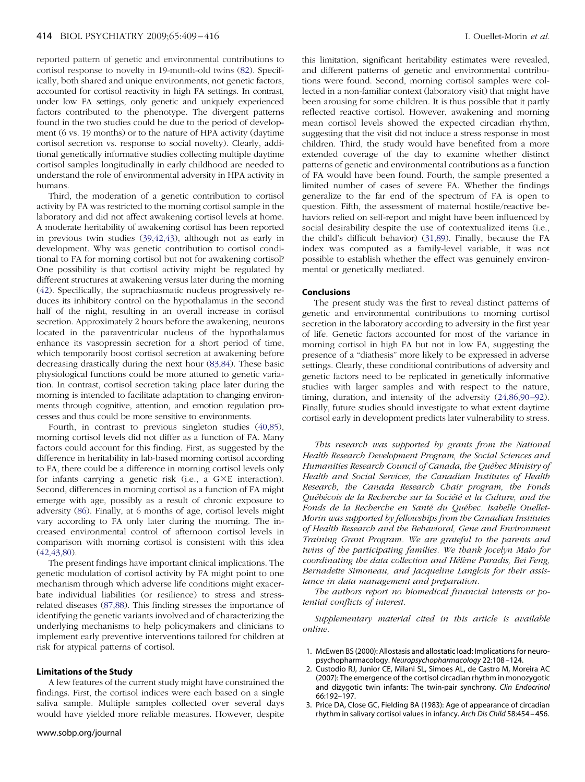<span id="page-5-0"></span>reported pattern of genetic and environmental contributions to cortisol response to novelty in 19-month-old twins [\(82\)](#page-7-0). Specifically, both shared and unique environments, not genetic factors, accounted for cortisol reactivity in high FA settings. In contrast, under low FA settings, only genetic and uniquely experienced factors contributed to the phenotype. The divergent patterns found in the two studies could be due to the period of development (6 vs. 19 months) or to the nature of HPA activity (daytime cortisol secretion vs. response to social novelty). Clearly, additional genetically informative studies collecting multiple daytime cortisol samples longitudinally in early childhood are needed to understand the role of environmental adversity in HPA activity in humans.

Third, the moderation of a genetic contribution to cortisol activity by FA was restricted to the morning cortisol sample in the laboratory and did not affect awakening cortisol levels at home. A moderate heritability of awakening cortisol has been reported in previous twin studies [\(39,42,43\)](#page-6-0), although not as early in development. Why was genetic contribution to cortisol conditional to FA for morning cortisol but not for awakening cortisol? One possibility is that cortisol activity might be regulated by different structures at awakening versus later during the morning [\(42\)](#page-6-0). Specifically, the suprachiasmatic nucleus progressively reduces its inhibitory control on the hypothalamus in the second half of the night, resulting in an overall increase in cortisol secretion. Approximately 2 hours before the awakening, neurons located in the paraventricular nucleus of the hypothalamus enhance its vasopressin secretion for a short period of time, which temporarily boost cortisol secretion at awakening before decreasing drastically during the next hour [\(83,84\)](#page-7-0). These basic physiological functions could be more attuned to genetic variation. In contrast, cortisol secretion taking place later during the morning is intended to facilitate adaptation to changing environments through cognitive, attention, and emotion regulation processes and thus could be more sensitive to environments.

Fourth, in contrast to previous singleton studies [\(40,85\)](#page-6-0), morning cortisol levels did not differ as a function of FA. Many factors could account for this finding. First, as suggested by the difference in heritability in lab-based morning cortisol according to FA, there could be a difference in morning cortisol levels only for infants carrying a genetic risk (i.e., a  $G \times E$  interaction). Second, differences in morning cortisol as a function of FA might emerge with age, possibly as a result of chronic exposure to adversity [\(86\)](#page-7-0). Finally, at 6 months of age, cortisol levels might vary according to FA only later during the morning. The increased environmental control of afternoon cortisol levels in comparison with morning cortisol is consistent with this idea [\(42,43,80\)](#page-6-0).

The present findings have important clinical implications. The genetic modulation of cortisol activity by FA might point to one mechanism through which adverse life conditions might exacerbate individual liabilities (or resilience) to stress and stressrelated diseases [\(87,88\)](#page-7-0). This finding stresses the importance of identifying the genetic variants involved and of characterizing the underlying mechanisms to help policymakers and clinicians to implement early preventive interventions tailored for children at risk for atypical patterns of cortisol.

#### **Limitations of the Study**

A few features of the current study might have constrained the findings. First, the cortisol indices were each based on a single saliva sample. Multiple samples collected over several days would have yielded more reliable measures. However, despite this limitation, significant heritability estimates were revealed, and different patterns of genetic and environmental contributions were found. Second, morning cortisol samples were collected in a non-familiar context (laboratory visit) that might have been arousing for some children. It is thus possible that it partly reflected reactive cortisol. However, awakening and morning mean cortisol levels showed the expected circadian rhythm, suggesting that the visit did not induce a stress response in most children. Third, the study would have benefited from a more extended coverage of the day to examine whether distinct patterns of genetic and environmental contributions as a function of FA would have been found. Fourth, the sample presented a limited number of cases of severe FA. Whether the findings generalize to the far end of the spectrum of FA is open to question*.* Fifth, the assessment of maternal hostile/reactive behaviors relied on self-report and might have been influenced by social desirability despite the use of contextualized items (i.e., the child's difficult behavior) [\(31,89\)](#page-6-0). Finally, because the FA index was computed as a family-level variable, it was not possible to establish whether the effect was genuinely environmental or genetically mediated.

#### **Conclusions**

The present study was the first to reveal distinct patterns of genetic and environmental contributions to morning cortisol secretion in the laboratory according to adversity in the first year of life. Genetic factors accounted for most of the variance in morning cortisol in high FA but not in low FA, suggesting the presence of a "diathesis" more likely to be expressed in adverse settings. Clearly, these conditional contributions of adversity and genetic factors need to be replicated in genetically informative studies with larger samples and with respect to the nature, timing, duration, and intensity of the adversity [\(24,86,90 –92\)](#page-6-0). Finally, future studies should investigate to what extent daytime cortisol early in development predicts later vulnerability to stress.

*This research was supported by grants from the National Health Research Development Program, the Social Sciences and Humanities Research Council of Canada, the Québec Ministry of Health and Social Services, the Canadian Institutes of Health Research, the Canada Research Chair program, the Fonds Québécois de la Recherche sur la Société et la Culture, and the Fonds de la Recherche en Santé du Québec. Isabelle Ouellet-Morin was supported by fellowships from the Canadian Institutes of Health Research and the Behavioral, Gene and Environment Training Grant Program. We are grateful to the parents and twins of the participating families. We thank Jocelyn Malo for coordinating the data collection and Hélène Paradis, Bei Feng, Bernadette Simoneau, and Jacqueline Langlois for their assistance in data management and preparation.*

*The authors report no biomedical financial interests or potential conflicts of interest.*

*Supplementary material cited in this article is available online.*

- 1. McEwen BS (2000): Allostasis and allostatic load: Implications for neuropsychopharmacology. *Neuropsychopharmacology* 22:108 –124.
- 2. Custodio RJ, Junior CE, Milani SL, Simoes AL, de Castro M, Moreira AC (2007): The emergence of the cortisol circadian rhythm in monozygotic and dizygotic twin infants: The twin-pair synchrony. *Clin Endocrinol* 66:192–197.
- 3. Price DA, Close GC, Fielding BA (1983): Age of appearance of circadian rhythm in salivary cortisol values in infancy. *Arch Dis Child* 58:454 – 456.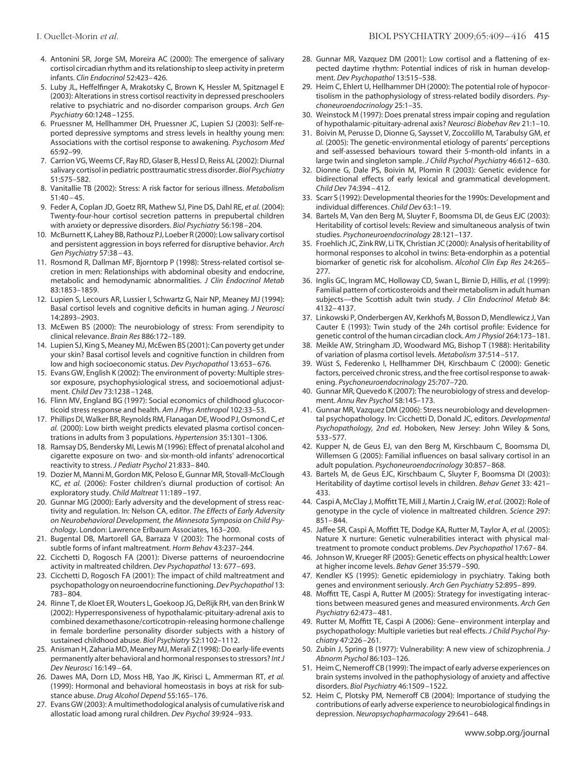- <span id="page-6-0"></span>4. Antonini SR, Jorge SM, Moreira AC (2000): The emergence of salivary cortisol circadian rhythm and its relationship to sleep activity in preterm infants. *Clin Endocrinol* 52:423– 426.
- 5. Luby JL, Heffelfinger A, Mrakotsky C, Brown K, Hessler M, Spitznagel E (2003): Alterations in stress cortisol reactivity in depressed preschoolers relative to psychiatric and no-disorder comparison groups. *Arch Gen Psychiatry* 60:1248 –1255.
- 6. Pruessner M, Hellhammer DH, Pruessner JC, Lupien SJ (2003): Self-reported depressive symptoms and stress levels in healthy young men: Associations with the cortisol response to awakening. *Psychosom Med* 65:92–99.
- 7. Carrion VG, Weems CF, Ray RD, Glaser B, Hessl D, Reiss AL (2002): Diurnal salivary cortisol in pediatric posttraumatic stress disorder. *Biol Psychiatry* 51:575–582.
- 8. Vanitallie TB (2002): Stress: A risk factor for serious illness. *Metabolism* 51:40 – 45.
- 9. Feder A, Coplan JD, Goetz RR, Mathew SJ, Pine DS, Dahl RE, *et al.* (2004): Twenty-four-hour cortisol secretion patterns in prepubertal children with anxiety or depressive disorders. *Biol Psychiatry* 56:198 –204.
- 10. McBurnett K, Lahey BB, Rathouz PJ, Loeber R (2000): Low salivary cortisol and persistent aggression in boys referred for disruptive behavior. *Arch Gen Psychiatry* 57:38 – 43.
- 11. Rosmond R, Dallman MF, Bjorntorp P (1998): Stress-related cortisol secretion in men: Relationships with abdominal obesity and endocrine, metabolic and hemodynamic abnormalities. *J Clin Endocrinol Metab* 83:1853–1859.
- 12. Lupien S, Lecours AR, Lussier I, Schwartz G, Nair NP, Meaney MJ (1994): Basal cortisol levels and cognitive deficits in human aging. *J Neurosci* 14:2893–2903.
- 13. McEwen BS (2000): The neurobiology of stress: From serendipity to clinical relevance. *Brain Res* 886:172–189.
- 14. Lupien SJ, King S, Meaney MJ, McEwen BS (2001): Can poverty get under your skin? Basal cortisol levels and cognitive function in children from low and high socioeconomic status. *Dev Psychopathol* 13:653– 676.
- 15. Evans GW, English K (2002): The environment of poverty: Multiple stressor exposure, psychophysiological stress, and socioemotional adjustment. *Child Dev* 73:1238 –1248.
- 16. Flinn MV, England BG (1997): Social economics of childhood glucocorticoid stress response and health. *Am J Phys Anthropol* 102:33–53.
- 17. Phillips DI,Walker BR, Reynolds RM, Flanagan DE,Wood PJ, Osmond C, *et al.* (2000): Low birth weight predicts elevated plasma cortisol concentrations in adults from 3 populations. *Hypertension* 35:1301–1306.
- 18. Ramsay DS, Bendersky MI, Lewis M (1996): Effect of prenatal alcohol and cigarette exposure on two- and six-month-old infants' adrenocortical reactivity to stress. *J Pediatr Psychol* 21:833– 840.
- 19. Dozier M, Manni M, Gordon MK, Peloso E, Gunnar MR, Stovall-McClough KC, *et al.* (2006): Foster children's diurnal production of cortisol: An exploratory study. *Child Maltreat* 11:189 –197.
- 20. Gunnar MG (2000): Early adversity and the development of stress reactivity and regulation. In: Nelson CA, editor. *The Effects of Early Adversity on Neurobehavioral Development, the Minnesota Symposia on Child Psychology*. London: Lawrence Erlbaum Associates, 163–200.
- 21. Bugental DB, Martorell GA, Barraza V (2003): The hormonal costs of subtle forms of infant maltreatment. *Horm Behav* 43:237–244.
- 22. Cicchetti D, Rogosch FA (2001): Diverse patterns of neuroendocrine activity in maltreated children. *Dev Psychopathol* 13: 677– 693.
- 23. Cicchetti D, Rogosch FA (2001): The impact of child maltreatment and psychopathology on neuroendocrinefunctioning.*Dev Psychopathol* 13: 783– 804.
- 24. Rinne T, de Kloet ER, Wouters L, Goekoop JG, DeRijk RH, van den Brink W (2002): Hyperresponsiveness of hypothalamic-pituitary-adrenal axis to combined dexamethasone/corticotropin-releasing hormone challenge in female borderline personality disorder subjects with a history of sustained childhood abuse. *Biol Psychiatry* 52:1102–1112.
- 25. Anisman H, Zaharia MD, Meaney MJ, Merali Z (1998): Do early-life events permanently alter behavioral and hormonal responses to stressors? *Int J Dev Neurosci* 16:149 – 64.
- 26. Dawes MA, Dorn LD, Moss HB, Yao JK, Kirisci L, Ammerman RT, *et al.* (1999): Hormonal and behavioral homeostasis in boys at risk for substance abuse. *Drug Alcohol Depend* 55:165–176.
- 27. Evans GW (2003): A multimethodological analysis of cumulative risk and allostatic load among rural children. *Dev Psychol* 39:924 –933.
- 28. Gunnar MR, Vazquez DM (2001): Low cortisol and a flattening of expected daytime rhythm: Potential indices of risk in human development. *Dev Psychopathol* 13:515–538.
- 29. Heim C, Ehlert U, Hellhammer DH (2000): The potential role of hypocortisolism in the pathophysiology of stress-related bodily disorders. *Psychoneuroendocrinology* 25:1–35.
- 30. Weinstock M (1997): Does prenatal stress impair coping and regulation of hypothalamic-pituitary-adrenal axis? *Neurosci Biobehav Rev* 21:1–10.
- 31. Boivin M, Perusse D, Dionne G, Saysset V, Zoccolillo M, Tarabulsy GM, *et al.* (2005): The genetic-environmental etiology of parents' perceptions and self-assessed behaviours toward their 5-month-old infants in a large twin and singleton sample. *J Child Psychol Psychiatry* 46:612– 630.
- 32. Dionne G, Dale PS, Boivin M, Plomin R (2003): Genetic evidence for bidirectional effects of early lexical and grammatical development. *Child Dev* 74:394 – 412.
- 33. Scarr S (1992): Developmental theories for the 1990s: Development and individual differences. *Child Dev* 63:1–19.
- 34. Bartels M, Van den Berg M, Sluyter F, Boomsma DI, de Geus EJC (2003): Heritability of cortisol levels: Review and simultaneous analysis of twin studies. *Psychoneuroendocrinology* 28:121–137.
- 35. Froehlich JC, Zink RW, Li TK, Christian JC (2000): Analysis of heritability of hormonal responses to alcohol in twins: Beta-endorphin as a potential biomarker of genetic risk for alcoholism. *Alcohol Clin Exp Res* 24:265– 277.
- 36. Inglis GC, Ingram MC, Holloway CD, Swan L, Birnie D, Hillis, *et al.* (1999): Familial pattern of corticosteroids and their metabolism in adult human subjects—the Scottish adult twin study. *J Clin Endocrinol Metab* 84: 4132– 4137.
- 37. Linkowski P, Onderbergen AV, Kerkhofs M, Bosson D, Mendlewicz J, Van Cauter E (1993): Twin study of the 24h cortisol profile: Evidence for genetic control of the human circadian clock. *Am J Physiol* 264:173–181.
- 38. Meikle AW, Stringham JD, Woodward MG, Bishop T (1988): Heritability of variation of plasma cortisol levels. *Metabolism* 37:514 –517.
- 39. Wüst S, Federenko I, Hellhammer DH, Kirschbaum C (2000): Genetic factors, perceived chronic stress, and the free cortisol response to awakening. *Psychoneuroendocrinology* 25:707–720.
- 40. Gunnar MR, Quevedo K (2007): The neurobiology of stress and development. *Annu Rev Psychol* 58:145–173.
- 41. Gunnar MR, Vazquez DM (2006): Stress neurobiology and developmental psychopathology. In: Cicchetti D, Donald JC, editors. *Developmental Psychopathology, 2nd ed*. Hoboken, New Jersey: John Wiley & Sons, 533–577.
- 42. Kupper N, de Geus EJ, van den Berg M, Kirschbaum C, Boomsma DI, Willemsen G (2005): Familial influences on basal salivary cortisol in an adult population. *Psychoneuroendocrinology* 30:857– 868.
- 43. Bartels M, de Geus EJC, Kirschbaum C, Sluyter F, Boomsma DI (2003): Heritability of daytime cortisol levels in children. *Behav Genet* 33: 421– 433.
- 44. Caspi A, McClay J, Moffitt TE, Mill J, Martin J, Craig IW, *et al.* (2002): Role of genotype in the cycle of violence in maltreated children. *Science* 297: 851– 844.
- 45. Jaffee SR, Caspi A, Moffitt TE, Dodge KA, Rutter M, Taylor A, *et al.* (2005): Nature X nurture: Genetic vulnerabilities interact with physical maltreatment to promote conduct problems. *Dev Psychopathol* 17:67– 84.
- 46. Johnson W, Krueger RF (2005): Genetic effects on physical health: Lower at higher income levels. *Behav Genet* 35:579 –590.
- 47. Kendler KS (1995): Genetic epidemiology in psychiatry. Taking both genes and environment seriously. *Arch Gen Psychiatry* 52:895– 899.
- 48. Moffitt TE, Caspi A, Rutter M (2005): Strategy for investigating interactions between measured genes and measured environments. *Arch Gen Psychiatry* 62:473– 481.
- 49. Rutter M, Moffitt TE, Caspi A (2006): Gene– environment interplay and psychopathology: Multiple varieties but real effects. *J Child Psychol Psychiatry* 47:226 –261.
- 50. Zubin J, Spring B (1977): Vulnerability: A new view of schizophrenia. *J Abnorm Psychol* 86:103–126.
- 51. Heim C, Nemeroff CB (1999): The impact of early adverse experiences on brain systems involved in the pathophysiology of anxiety and affective disorders. *Biol Psychiatry* 46:1509 –1522.
- 52. Heim C, Plotsky PM, Nemeroff CB (2004): Importance of studying the contributions of early adverse experience to neurobiological findings in depression. *Neuropsychopharmacology* 29:641– 648.